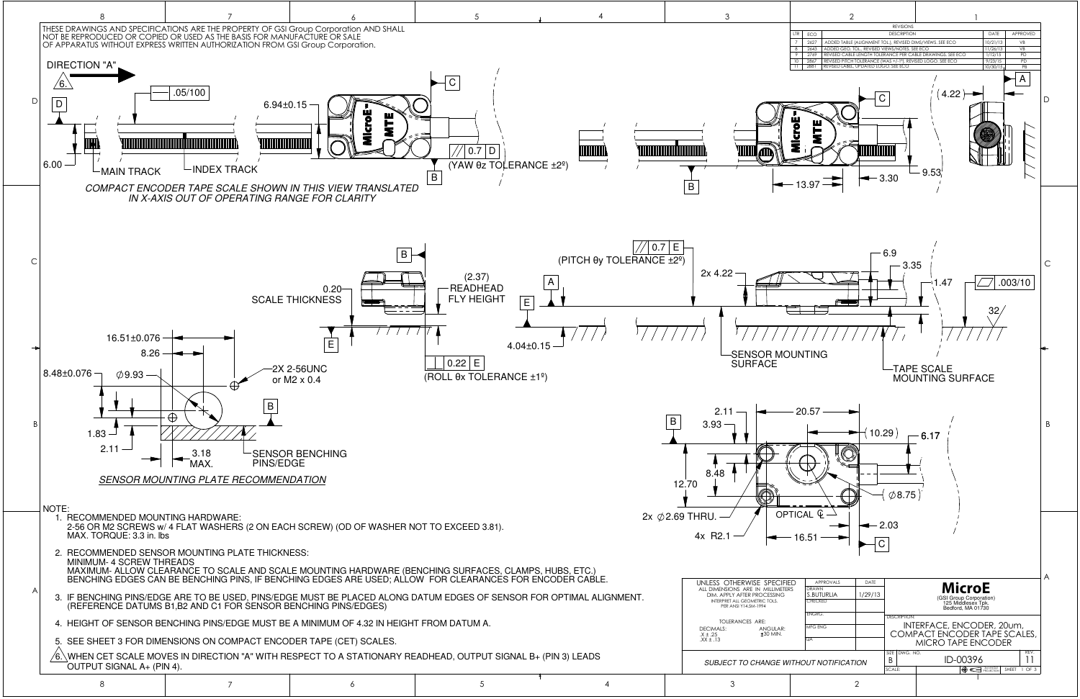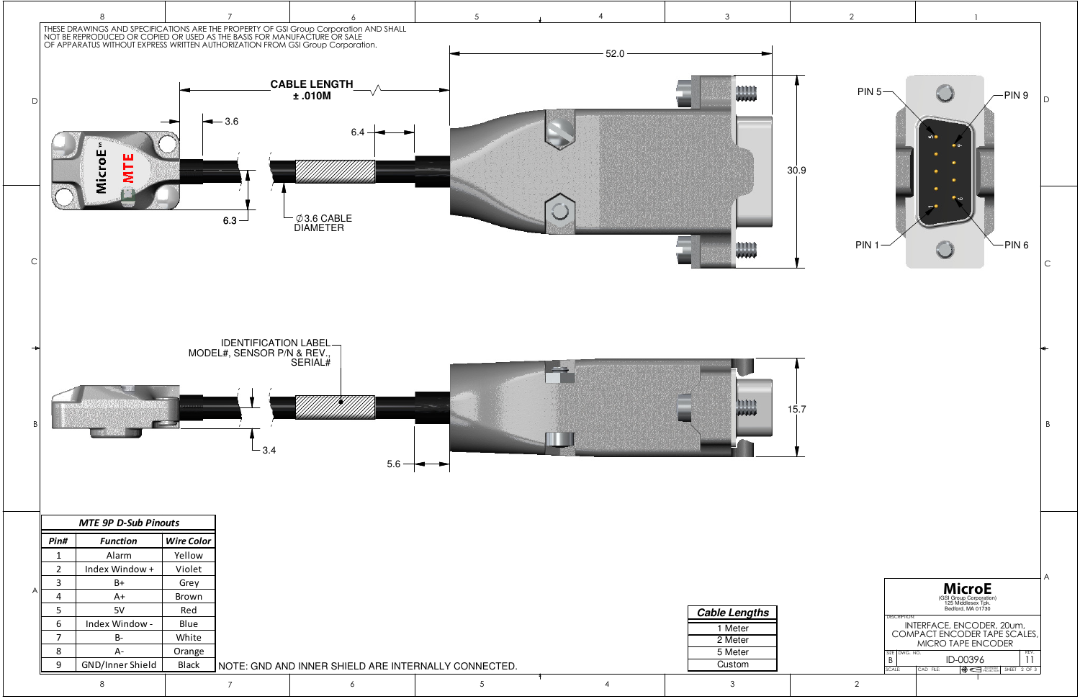